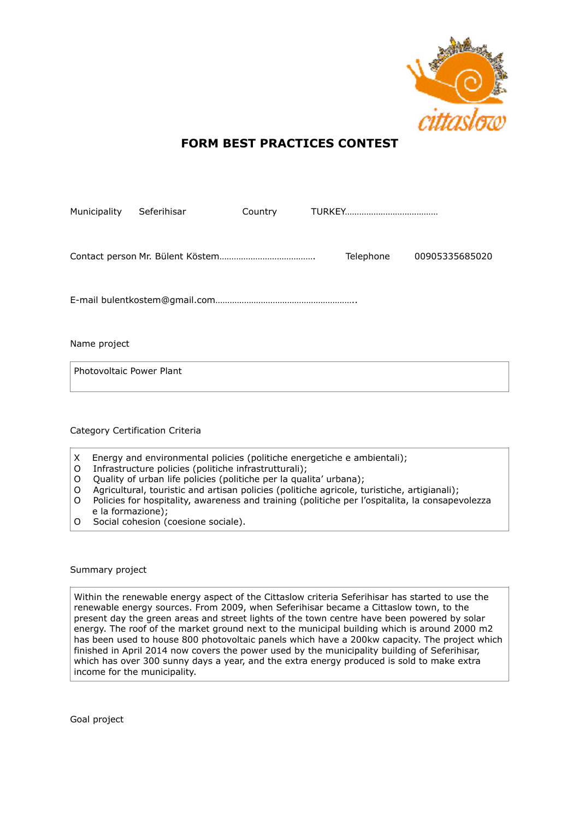

## **FORM BEST PRACTICES CONTEST**

| Seferihisar                     | Country |                             |
|---------------------------------|---------|-----------------------------|
|                                 |         | Telephone<br>00905335685020 |
|                                 |         |                             |
|                                 |         |                             |
| Photovoltaic Power Plant        |         |                             |
| Category Certification Criteria |         |                             |
|                                 |         |                             |

- X Energy and environmental policies (politiche energetiche e ambientali);
- O Infrastructure policies (politiche infrastrutturali);
- O Quality of urban life policies (politiche per la qualita' urbana);
- O Agricultural, touristic and artisan policies (politiche agricole, turistiche, artigianali);
- O Policies for hospitality, awareness and training (politiche per l'ospitalita, la consapevolezza e la formazione);
- O Social cohesion (coesione sociale).

Summary project

Within the renewable energy aspect of the Cittaslow criteria Seferihisar has started to use the renewable energy sources. From 2009, when Seferihisar became a Cittaslow town, to the present day the green areas and street lights of the town centre have been powered by solar energy. The roof of the market ground next to the municipal building which is around 2000 m2 has been used to house 800 photovoltaic panels which have a 200kw capacity. The project which finished in April 2014 now covers the power used by the municipality building of Seferihisar, which has over 300 sunny days a year, and the extra energy produced is sold to make extra income for the municipality.

Goal project